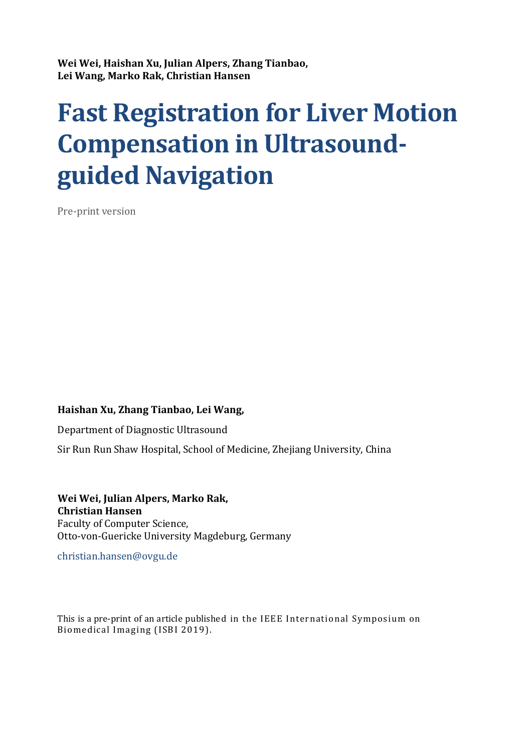Wei Wei, Haishan Xu, Julian Alpers, Zhang Tianbao, Lei Wang, Marko Rak, Christian Hansen

# Fast Registration for Liver Motion Compensation in Ultrasoundguided Navigation

Pre-print version

# Haishan Xu, Zhang Tianbao, Lei Wang,

Department of Diagnostic Ultrasound

Sir Run Run Shaw Hospital, School of Medicine, Zhejiang University, China

Wei Wei, Julian Alpers, Marko Rak, Christian Hansen Faculty of Computer Science, Otto-von-Guericke University Magdeburg, Germany

christian.hansen@ovgu.de

This is a pre-print of an article published in the IEEE International Symposium on Biomedical Imaging (ISBI 2019).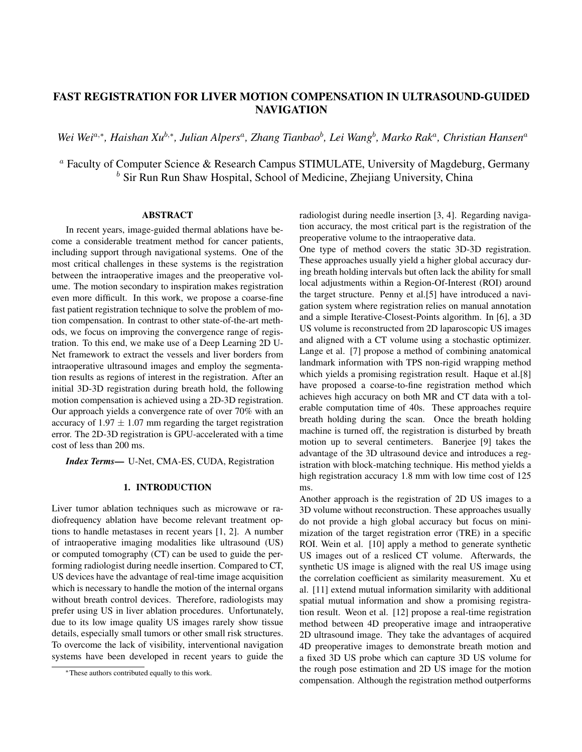# FAST REGISTRATION FOR LIVER MOTION COMPENSATION IN ULTRASOUND-GUIDED **NAVIGATION**

*Wei Wei*a,<sup>∗</sup> *, Haishan Xu*b,<sup>∗</sup> *, Julian Alpers*<sup>a</sup> *, Zhang Tianbao*<sup>b</sup> *, Lei Wang*<sup>b</sup> *, Marko Rak*<sup>a</sup> *, Christian Hansen*<sup>a</sup>

<sup>a</sup> Faculty of Computer Science & Research Campus STIMULATE, University of Magdeburg, Germany  $<sup>b</sup>$  Sir Run Run Shaw Hospital, School of Medicine, Zhejiang University, China</sup>

## **ABSTRACT**

In recent years, image-guided thermal ablations have become a considerable treatment method for cancer patients, including support through navigational systems. One of the most critical challenges in these systems is the registration between the intraoperative images and the preoperative volume. The motion secondary to inspiration makes registration even more difficult. In this work, we propose a coarse-fine fast patient registration technique to solve the problem of motion compensation. In contrast to other state-of-the-art methods, we focus on improving the convergence range of registration. To this end, we make use of a Deep Learning 2D U-Net framework to extract the vessels and liver borders from intraoperative ultrasound images and employ the segmentation results as regions of interest in the registration. After an initial 3D-3D registration during breath hold, the following motion compensation is achieved using a 2D-3D registration. Our approach yields a convergence rate of over 70% with an accuracy of  $1.97 \pm 1.07$  mm regarding the target registration error. The 2D-3D registration is GPU-accelerated with a time cost of less than 200 ms.

*Index Terms*— U-Net, CMA-ES, CUDA, Registration

### 1. INTRODUCTION

Liver tumor ablation techniques such as microwave or radiofrequency ablation have become relevant treatment options to handle metastases in recent years [1, 2]. A number of intraoperative imaging modalities like ultrasound (US) or computed tomography (CT) can be used to guide the performing radiologist during needle insertion. Compared to CT, US devices have the advantage of real-time image acquisition which is necessary to handle the motion of the internal organs without breath control devices. Therefore, radiologists may prefer using US in liver ablation procedures. Unfortunately, due to its low image quality US images rarely show tissue details, especially small tumors or other small risk structures. To overcome the lack of visibility, interventional navigation systems have been developed in recent years to guide the radiologist during needle insertion [3, 4]. Regarding navigation accuracy, the most critical part is the registration of the preoperative volume to the intraoperative data.

One type of method covers the static 3D-3D registration. These approaches usually yield a higher global accuracy during breath holding intervals but often lack the ability for small local adjustments within a Region-Of-Interest (ROI) around the target structure. Penny et al.[5] have introduced a navigation system where registration relies on manual annotation and a simple Iterative-Closest-Points algorithm. In [6], a 3D US volume is reconstructed from 2D laparoscopic US images and aligned with a CT volume using a stochastic optimizer. Lange et al. [7] propose a method of combining anatomical landmark information with TPS non-rigid wrapping method which yields a promising registration result. Haque et al.[8] have proposed a coarse-to-fine registration method which achieves high accuracy on both MR and CT data with a tolerable computation time of 40s. These approaches require breath holding during the scan. Once the breath holding machine is turned off, the registration is disturbed by breath motion up to several centimeters. Banerjee [9] takes the advantage of the 3D ultrasound device and introduces a registration with block-matching technique. His method yields a high registration accuracy 1.8 mm with low time cost of 125 ms.

Another approach is the registration of 2D US images to a 3D volume without reconstruction. These approaches usually do not provide a high global accuracy but focus on minimization of the target registration error (TRE) in a specific ROI. Wein et al. [10] apply a method to generate synthetic US images out of a resliced CT volume. Afterwards, the synthetic US image is aligned with the real US image using the correlation coefficient as similarity measurement. Xu et al. [11] extend mutual information similarity with additional spatial mutual information and show a promising registration result. Weon et al. [12] propose a real-time registration method between 4D preoperative image and intraoperative 2D ultrasound image. They take the advantages of acquired 4D preoperative images to demonstrate breath motion and a fixed 3D US probe which can capture 3D US volume for the rough pose estimation and 2D US image for the motion compensation. Although the registration method outperforms

<sup>∗</sup>These authors contributed equally to this work.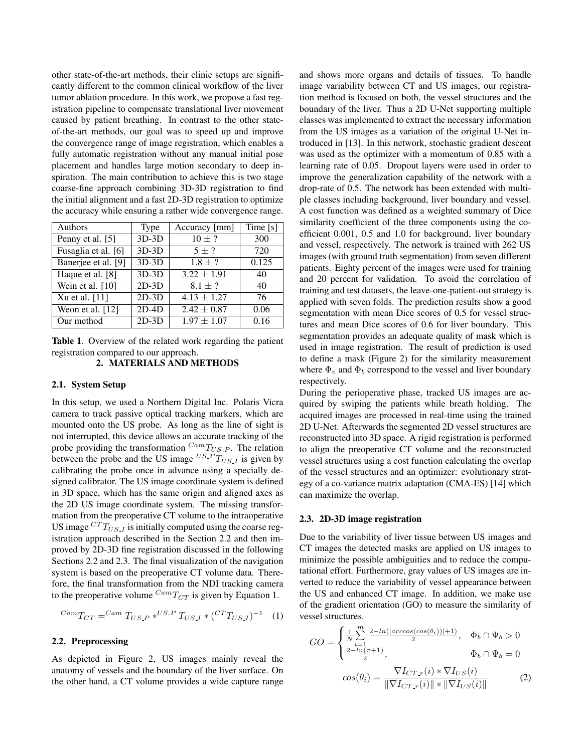other state-of-the-art methods, their clinic setups are significantly different to the common clinical workflow of the liver tumor ablation procedure. In this work, we propose a fast registration pipeline to compensate translational liver movement caused by patient breathing. In contrast to the other stateof-the-art methods, our goal was to speed up and improve the convergence range of image registration, which enables a fully automatic registration without any manual initial pose placement and handles large motion secondary to deep inspiration. The main contribution to achieve this is two stage coarse-fine approach combining 3D-3D registration to find the initial alignment and a fast 2D-3D registration to optimize the accuracy while ensuring a rather wide convergence range.

| Authors             | <b>Type</b> | Accuracy [mm]   | Time [s] |
|---------------------|-------------|-----------------|----------|
| Penny et al. [5]    | $3D-3D$     | $10 \pm ?$      | 300      |
| Fusaglia et al. [6] | $3D-3D$     | $5 + ?$         | 720      |
| Banerjee et al. [9] | $3D-3D$     | $1.8 \pm ?$     | 0.125    |
| Haque et al. [8]    | $3D-3D$     | $3.22 \pm 1.91$ | 40       |
| Wein et al. [10]    | $2D-3D$     | $8.1 \pm ?$     | 40       |
| Xu et al. [11]      | $2D-3D$     | $4.13 \pm 1.27$ | 76       |
| Weon et al. $[12]$  | $2D-4D$     | $2.42 \pm 0.87$ | 0.06     |
| Our method          | $2D-3D$     | $1.97 \pm 1.07$ | 0.16     |

Table 1. Overview of the related work regarding the patient registration compared to our approach.

#### 2. MATERIALS AND METHODS

#### 2.1. System Setup

In this setup, we used a Northern Digital Inc. Polaris Vicra camera to track passive optical tracking markers, which are mounted onto the US probe. As long as the line of sight is not interrupted, this device allows an accurate tracking of the probe providing the transformation  $^{Cam}T_{US.P}$ . The relation between the probe and the US image  $^{US.P}T_{US,I}$  is given by calibrating the probe once in advance using a specially designed calibrator. The US image coordinate system is defined in 3D space, which has the same origin and aligned axes as the 2D US image coordinate system. The missing transformation from the preoperative CT volume to the intraoperative US image  ${}^{CT}T_{US,I}$  is initially computed using the coarse registration approach described in the Section 2.2 and then improved by 2D-3D fine registration discussed in the following Sections 2.2 and 2.3. The final visualization of the navigation system is based on the preoperative CT volume data. Therefore, the final transformation from the NDI tracking camera to the preoperative volume  $CamT_{CT}$  is given by Equation 1.

$$
^{Cam}T_{CT} = ^{Cam} T_{US.P} * ^{US.P} T_{US.I} * (^{CT}T_{US.I})^{-1} (1)
$$

#### 2.2. Preprocessing

As depicted in Figure 2, US images mainly reveal the anatomy of vessels and the boundary of the liver surface. On the other hand, a CT volume provides a wide capture range and shows more organs and details of tissues. To handle image variability between CT and US images, our registration method is focused on both, the vessel structures and the boundary of the liver. Thus a 2D U-Net supporting multiple classes was implemented to extract the necessary information from the US images as a variation of the original U-Net introduced in [13]. In this network, stochastic gradient descent was used as the optimizer with a momentum of 0.85 with a learning rate of 0.05. Dropout layers were used in order to improve the generalization capability of the network with a drop-rate of 0.5. The network has been extended with multiple classes including background, liver boundary and vessel. A cost function was defined as a weighted summary of Dice similarity coefficient of the three components using the coefficient 0.001, 0.5 and 1.0 for background, liver boundary and vessel, respectively. The network is trained with 262 US images (with ground truth segmentation) from seven different patients. Eighty percent of the images were used for training and 20 percent for validation. To avoid the correlation of training and test datasets, the leave-one-patient-out strategy is applied with seven folds. The prediction results show a good segmentation with mean Dice scores of 0.5 for vessel structures and mean Dice scores of 0.6 for liver boundary. This segmentation provides an adequate quality of mask which is used in image registration. The result of prediction is used to define a mask (Figure 2) for the similarity measurement where  $\Phi_v$  and  $\Phi_b$  correspond to the vessel and liver boundary respectively.

During the perioperative phase, tracked US images are acquired by swiping the patients while breath holding. The acquired images are processed in real-time using the trained 2D U-Net. Afterwards the segmented 2D vessel structures are reconstructed into 3D space. A rigid registration is performed to align the preoperative CT volume and the reconstructed vessel structures using a cost function calculating the overlap of the vessel structures and an optimizer: evolutionary strategy of a co-variance matrix adaptation (CMA-ES) [14] which can maximize the overlap.

#### 2.3. 2D-3D image registration

Due to the variability of liver tissue between US images and CT images the detected masks are applied on US images to minimize the possible ambiguities and to reduce the computational effort. Furthermore, gray values of US images are inverted to reduce the variability of vessel appearance between the US and enhanced CT image. In addition, we make use of the gradient orientation (GO) to measure the similarity of vessel structures.

$$
GO = \begin{cases} \frac{1}{N} \sum_{i=1}^{m} \frac{2 - \ln(\left| \arccos(\cos(\theta_i)) \right| + 1)}{2}, & \Phi_b \cap \Psi_b > 0\\ \frac{2 - \ln(\pi + 1)}{2}, & \Phi_b \cap \Psi_b = 0 \end{cases}
$$

$$
cos(\theta_i) = \frac{\nabla I_{CT, r}(i) * \nabla I_{US}(i)}{\|\nabla I_{CT, r}(i)\| * \|\nabla I_{US}(i)\|}
$$
(2)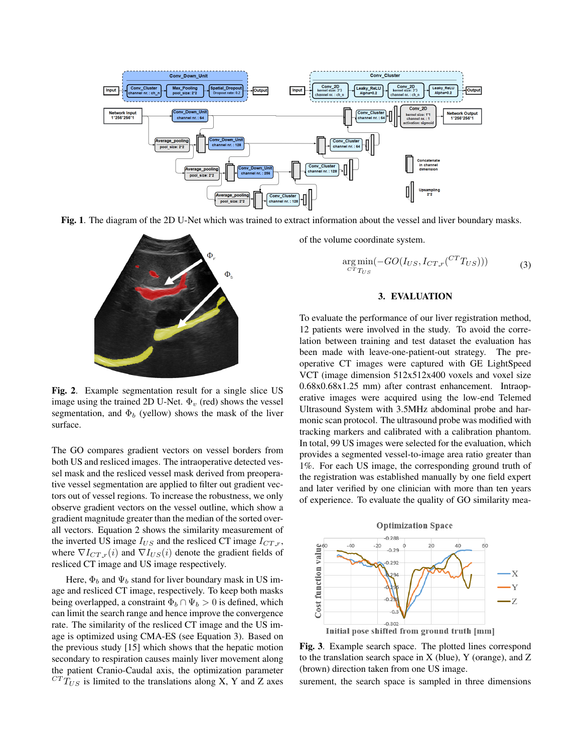

Fig. 1. The diagram of the 2D U-Net which was trained to extract information about the vessel and liver boundary masks.



Fig. 2. Example segmentation result for a single slice US image using the trained 2D U-Net.  $\Phi_v$  (red) shows the vessel segmentation, and  $\Phi_b$  (yellow) shows the mask of the liver surface.

The GO compares gradient vectors on vessel borders from both US and resliced images. The intraoperative detected vessel mask and the resliced vessel mask derived from preoperative vessel segmentation are applied to filter out gradient vectors out of vessel regions. To increase the robustness, we only observe gradient vectors on the vessel outline, which show a gradient magnitude greater than the median of the sorted overall vectors. Equation 2 shows the similarity measurement of the inverted US image  $I_{US}$  and the resliced CT image  $I_{CT,r}$ , where  $\nabla I_{CT,r}(i)$  and  $\nabla I_{US}(i)$  denote the gradient fields of resliced CT image and US image respectively.

Here,  $\Phi_b$  and  $\Psi_b$  stand for liver boundary mask in US image and resliced CT image, respectively. To keep both masks being overlapped, a constraint  $\Phi_b \cap \Psi_b > 0$  is defined, which can limit the search range and hence improve the convergence rate. The similarity of the resliced CT image and the US image is optimized using CMA-ES (see Equation 3). Based on the previous study [15] which shows that the hepatic motion secondary to respiration causes mainly liver movement along the patient Cranio-Caudal axis, the optimization parameter  ${}^{CT}T_{US}$  is limited to the translations along X, Y and Z axes

of the volume coordinate system.

$$
\underset{CT_{TUS}}{\arg \min} (-GO(I_{US}, I_{CT,r}(^{CT}T_{US}))) \tag{3}
$$

#### 3. EVALUATION

To evaluate the performance of our liver registration method, 12 patients were involved in the study. To avoid the correlation between training and test dataset the evaluation has been made with leave-one-patient-out strategy. The preoperative CT images were captured with GE LightSpeed VCT (image dimension 512x512x400 voxels and voxel size 0.68x0.68x1.25 mm) after contrast enhancement. Intraoperative images were acquired using the low-end Telemed Ultrasound System with 3.5MHz abdominal probe and harmonic scan protocol. The ultrasound probe was modified with tracking markers and calibrated with a calibration phantom. In total, 99 US images were selected for the evaluation, which provides a segmented vessel-to-image area ratio greater than 1%. For each US image, the corresponding ground truth of the registration was established manually by one field expert and later verified by one clinician with more than ten years of experience. To evaluate the quality of GO similarity mea-



Fig. 3. Example search space. The plotted lines correspond to the translation search space in X (blue), Y (orange), and Z (brown) direction taken from one US image.

surement, the search space is sampled in three dimensions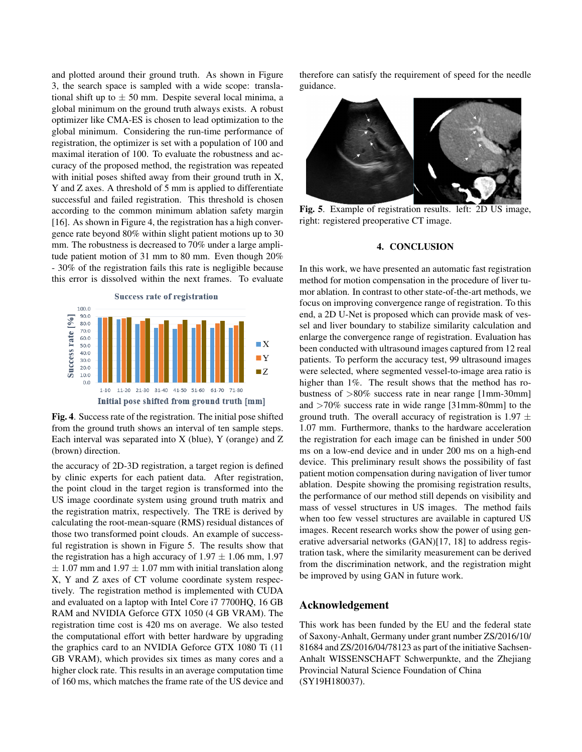and plotted around their ground truth. As shown in Figure 3, the search space is sampled with a wide scope: translational shift up to  $\pm$  50 mm. Despite several local minima, a global minimum on the ground truth always exists. A robust optimizer like CMA-ES is chosen to lead optimization to the global minimum. Considering the run-time performance of registration, the optimizer is set with a population of 100 and maximal iteration of 100. To evaluate the robustness and accuracy of the proposed method, the registration was repeated with initial poses shifted away from their ground truth in X, Y and Z axes. A threshold of 5 mm is applied to differentiate successful and failed registration. This threshold is chosen according to the common minimum ablation safety margin [16]. As shown in Figure 4, the registration has a high convergence rate beyond 80% within slight patient motions up to 30 mm. The robustness is decreased to 70% under a large amplitude patient motion of 31 mm to 80 mm. Even though 20% - 30% of the registration fails this rate is negligible because this error is dissolved within the next frames. To evaluate



Fig. 4. Success rate of the registration. The initial pose shifted from the ground truth shows an interval of ten sample steps. Each interval was separated into X (blue), Y (orange) and Z (brown) direction.

the accuracy of 2D-3D registration, a target region is defined by clinic experts for each patient data. After registration, the point cloud in the target region is transformed into the US image coordinate system using ground truth matrix and the registration matrix, respectively. The TRE is derived by calculating the root-mean-square (RMS) residual distances of those two transformed point clouds. An example of successful registration is shown in Figure 5. The results show that the registration has a high accuracy of  $1.97 \pm 1.06$  mm, 1.97  $\pm$  1.07 mm and 1.97  $\pm$  1.07 mm with initial translation along X, Y and Z axes of CT volume coordinate system respectively. The registration method is implemented with CUDA and evaluated on a laptop with Intel Core i7 7700HQ, 16 GB RAM and NVIDIA Geforce GTX 1050 (4 GB VRAM). The registration time cost is 420 ms on average. We also tested the computational effort with better hardware by upgrading the graphics card to an NVIDIA Geforce GTX 1080 Ti (11 GB VRAM), which provides six times as many cores and a higher clock rate. This results in an average computation time of 160 ms, which matches the frame rate of the US device and therefore can satisfy the requirement of speed for the needle guidance.



Fig. 5. Example of registration results. left: 2D US image, right: registered preoperative CT image.

#### 4. CONCLUSION

In this work, we have presented an automatic fast registration method for motion compensation in the procedure of liver tumor ablation. In contrast to other state-of-the-art methods, we focus on improving convergence range of registration. To this end, a 2D U-Net is proposed which can provide mask of vessel and liver boundary to stabilize similarity calculation and enlarge the convergence range of registration. Evaluation has been conducted with ultrasound images captured from 12 real patients. To perform the accuracy test, 99 ultrasound images were selected, where segmented vessel-to-image area ratio is higher than 1%. The result shows that the method has robustness of >80% success rate in near range [1mm-30mm] and >70% success rate in wide range [31mm-80mm] to the ground truth. The overall accuracy of registration is 1.97  $\pm$ 1.07 mm. Furthermore, thanks to the hardware acceleration the registration for each image can be finished in under 500 ms on a low-end device and in under 200 ms on a high-end device. This preliminary result shows the possibility of fast patient motion compensation during navigation of liver tumor ablation. Despite showing the promising registration results, the performance of our method still depends on visibility and mass of vessel structures in US images. The method fails when too few vessel structures are available in captured US images. Recent research works show the power of using generative adversarial networks (GAN)[17, 18] to address registration task, where the similarity measurement can be derived from the discrimination network, and the registration might be improved by using GAN in future work.

## Acknowledgement

This work has been funded by the EU and the federal state of Saxony-Anhalt, Germany under grant number ZS/2016/10/ 81684 and ZS/2016/04/78123 as part of the initiative Sachsen-Anhalt WISSENSCHAFT Schwerpunkte, and the Zhejiang Provincial Natural Science Foundation of China (SY19H180037).